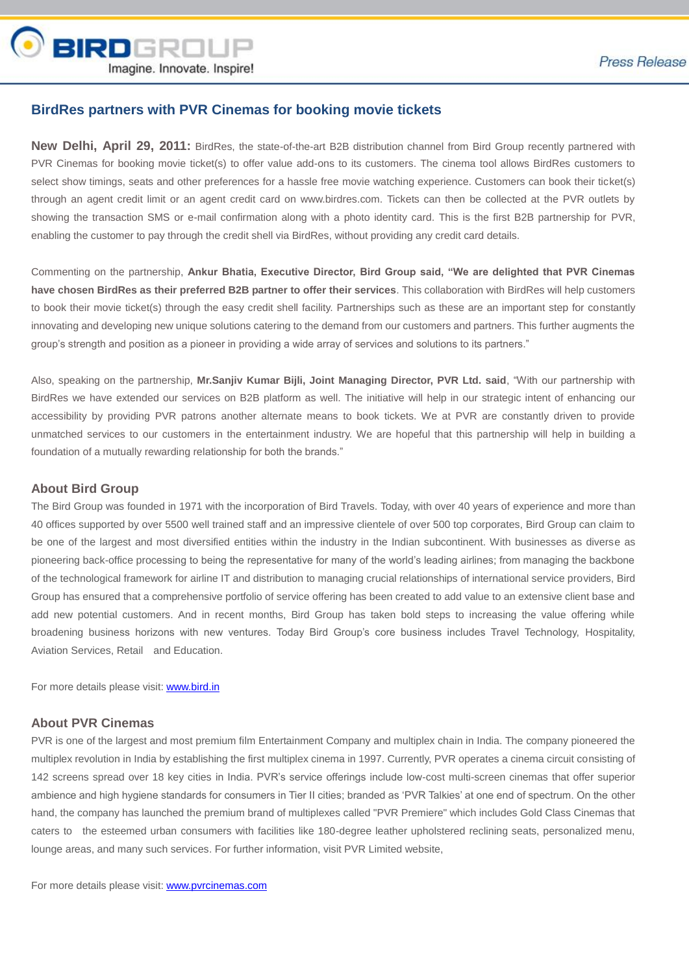

## **BirdRes partners with PVR Cinemas for booking movie tickets**

**New Delhi, April 29, 2011:** BirdRes, the state-of-the-art B2B distribution channel from Bird Group recently partnered with PVR Cinemas for booking movie ticket(s) to offer value add-ons to its customers. The cinema tool allows BirdRes customers to select show timings, seats and other preferences for a hassle free movie watching experience. Customers can book their ticket(s) through an agent credit limit or an agent credit card on www.birdres.com. Tickets can then be collected at the PVR outlets by showing the transaction SMS or e-mail confirmation along with a photo identity card. This is the first B2B partnership for PVR, enabling the customer to pay through the credit shell via BirdRes, without providing any credit card details.

Commenting on the partnership, **Ankur Bhatia, Executive Director, Bird Group said, "We are delighted that PVR Cinemas have chosen BirdRes as their preferred B2B partner to offer their services**. This collaboration with BirdRes will help customers to book their movie ticket(s) through the easy credit shell facility. Partnerships such as these are an important step for constantly innovating and developing new unique solutions catering to the demand from our customers and partners. This further augments the group's strength and position as a pioneer in providing a wide array of services and solutions to its partners."

Also, speaking on the partnership, **Mr.Sanjiv Kumar Bijli, Joint Managing Director, PVR Ltd. said**, "With our partnership with BirdRes we have extended our services on B2B platform as well. The initiative will help in our strategic intent of enhancing our accessibility by providing PVR patrons another alternate means to book tickets. We at PVR are constantly driven to provide unmatched services to our customers in the entertainment industry. We are hopeful that this partnership will help in building a foundation of a mutually rewarding relationship for both the brands."

#### **About Bird Group**

The Bird Group was founded in 1971 with the incorporation of Bird Travels. Today, with over 40 years of experience and more than 40 offices supported by over 5500 well trained staff and an impressive clientele of over 500 top corporates, Bird Group can claim to be one of the largest and most diversified entities within the industry in the Indian subcontinent. With businesses as diverse as pioneering back-office processing to being the representative for many of the world's leading airlines; from managing the backbone of the technological framework for airline IT and distribution to managing crucial relationships of international service providers, Bird Group has ensured that a comprehensive portfolio of service offering has been created to add value to an extensive client base and add new potential customers. And in recent months, Bird Group has taken bold steps to increasing the value offering while broadening business horizons with new ventures. Today Bird Group's core business includes Travel Technology, Hospitality, Aviation Services, Retail and Education.

For more details please visit: [www.bird.in](http://www.bird.in/)

### **About PVR Cinemas**

PVR is one of the largest and most premium film Entertainment Company and multiplex chain in India. The company pioneered the multiplex revolution in India by establishing the first multiplex cinema in 1997. Currently, PVR operates a cinema circuit consisting of 142 screens spread over 18 key cities in India. PVR's service offerings include low-cost multi-screen cinemas that offer superior ambience and high hygiene standards for consumers in Tier II cities; branded as 'PVR Talkies' at one end of spectrum. On the other hand, the company has launched the premium brand of multiplexes called "PVR Premiere" which includes Gold Class Cinemas that caters to the esteemed urban consumers with facilities like 180-degree leather upholstered reclining seats, personalized menu, lounge areas, and many such services. For further information, visit PVR Limited website,

For more details please visit: **[www.pvrcinemas.com](http://www.pvrcinemas.com/)**